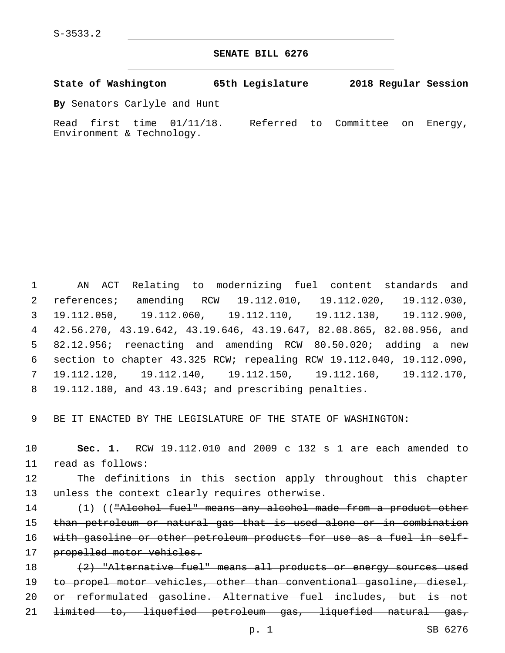S-3533.2

**SENATE BILL 6276**

**State of Washington 65th Legislature 2018 Regular Session By** Senators Carlyle and Hunt Read first time 01/11/18. Referred to Committee on Energy, Environment & Technology.

 AN ACT Relating to modernizing fuel content standards and references; amending RCW 19.112.010, 19.112.020, 19.112.030, 19.112.050, 19.112.060, 19.112.110, 19.112.130, 19.112.900, 42.56.270, 43.19.642, 43.19.646, 43.19.647, 82.08.865, 82.08.956, and 82.12.956; reenacting and amending RCW 80.50.020; adding a new section to chapter 43.325 RCW; repealing RCW 19.112.040, 19.112.090, 19.112.120, 19.112.140, 19.112.150, 19.112.160, 19.112.170, 19.112.180, and 43.19.643; and prescribing penalties.

BE IT ENACTED BY THE LEGISLATURE OF THE STATE OF WASHINGTON:

 **Sec. 1.** RCW 19.112.010 and 2009 c 132 s 1 are each amended to 11 read as follows:

 The definitions in this section apply throughout this chapter 13 unless the context clearly requires otherwise.

 (1) (("Alcohol fuel" means any alcohol made from a product other than petroleum or natural gas that is used alone or in combination with gasoline or other petroleum products for use as a fuel in self-propelled motor vehicles.

 (2) "Alternative fuel" means all products or energy sources used 19 to propel motor vehicles, other than conventional gasoline, diesel, or reformulated gasoline. Alternative fuel includes, but is not limited to, liquefied petroleum gas, liquefied natural gas,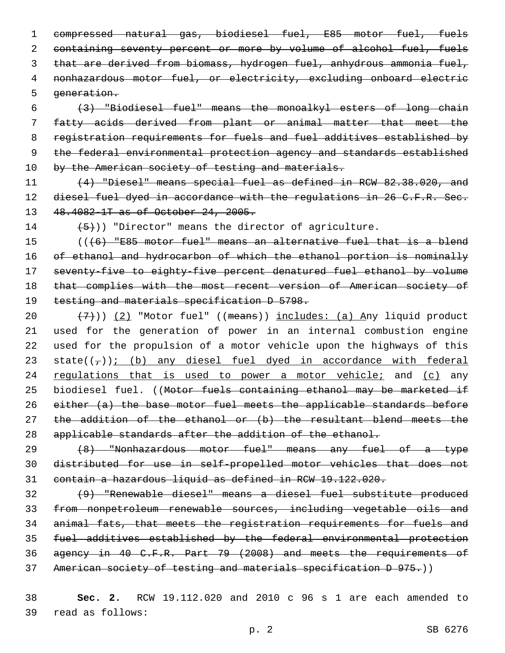compressed natural gas, biodiesel fuel, E85 motor fuel, fuels 2 containing seventy percent or more by volume of alcohol fuel, fuels 3 that are derived from biomass, hydrogen fuel, anhydrous ammonia fuel, nonhazardous motor fuel, or electricity, excluding onboard electric 5 generation.

 (3) "Biodiesel fuel" means the monoalkyl esters of long chain fatty acids derived from plant or animal matter that meet the registration requirements for fuels and fuel additives established by the federal environmental protection agency and standards established 10 by the American society of testing and materials.

 (4) "Diesel" means special fuel as defined in RCW 82.38.020, and 12 diesel fuel dyed in accordance with the regulations in 26 C.F.R. Sec. 48.4082-1T as of October 24, 2005.

14  $(5)$ )) "Director" means the director of agriculture.

 (((6) "E85 motor fuel" means an alternative fuel that is a blend of ethanol and hydrocarbon of which the ethanol portion is nominally seventy-five to eighty-five percent denatured fuel ethanol by volume that complies with the most recent version of American society of testing and materials specification D 5798.

20  $(7)$ )) (2) "Motor fuel" ((means)) includes: (a) Any liquid product used for the generation of power in an internal combustion engine used for the propulsion of a motor vehicle upon the highways of this 23 state( $(\tau)$ ); (b) any diesel fuel dyed in accordance with federal 24 regulations that is used to power a motor vehicle; and (c) any 25 biodiesel fuel. ((Motor fuels containing ethanol may be marketed if either (a) the base motor fuel meets the applicable standards before the addition of the ethanol or (b) the resultant blend meets the 28 applicable standards after the addition of the ethanol.

 (8) "Nonhazardous motor fuel" means any fuel of a type distributed for use in self-propelled motor vehicles that does not contain a hazardous liquid as defined in RCW 19.122.020.

 (9) "Renewable diesel" means a diesel fuel substitute produced from nonpetroleum renewable sources, including vegetable oils and animal fats, that meets the registration requirements for fuels and fuel additives established by the federal environmental protection agency in 40 C.F.R. Part 79 (2008) and meets the requirements of American society of testing and materials specification D 975.))

 **Sec. 2.** RCW 19.112.020 and 2010 c 96 s 1 are each amended to read as follows:39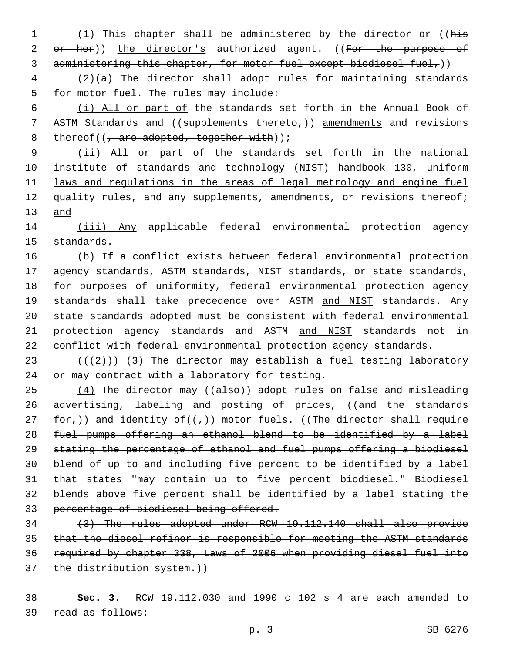1 (1) This chapter shall be administered by the director or ((his 2 or her)) the director's authorized agent. ((For the purpose of 3 administering this chapter, for motor fuel except biodiesel fuel,))

4 (2)(a) The director shall adopt rules for maintaining standards 5 for motor fuel. The rules may include:

6 (i) All or part of the standards set forth in the Annual Book of 7 ASTM Standards and ((supplements thereto,)) amendments and revisions 8 thereof( $\left(\frac{1}{t} + 1\right)$  are adopted, together with));

9 (ii) All or part of the standards set forth in the national 10 institute of standards and technology (NIST) handbook 130, uniform 11 laws and regulations in the areas of legal metrology and engine fuel 12 quality rules, and any supplements, amendments, or revisions thereof; 13 and

14 (iii) Any applicable federal environmental protection agency 15 standards.

16 (b) If a conflict exists between federal environmental protection 17 agency standards, ASTM standards, NIST standards, or state standards, 18 for purposes of uniformity, federal environmental protection agency 19 standards shall take precedence over ASTM and NIST standards. Any 20 state standards adopted must be consistent with federal environmental 21 protection agency standards and ASTM and NIST standards not in 22 conflict with federal environmental protection agency standards.

23  $((+2+))$  (3) The director may establish a fuel testing laboratory 24 or may contract with a laboratory for testing.

 $(4)$  The director may ((also)) adopt rules on false and misleading 26 advertising, labeling and posting of prices, ((and the standards 27 for,)) and identity of( $(\tau)$ ) motor fuels. ((The director shall require fuel pumps offering an ethanol blend to be identified by a label stating the percentage of ethanol and fuel pumps offering a biodiesel blend of up to and including five percent to be identified by a label that states "may contain up to five percent biodiesel." Biodiesel blends above five percent shall be identified by a label stating the percentage of biodiesel being offered.

 (3) The rules adopted under RCW 19.112.140 shall also provide that the diesel refiner is responsible for meeting the ASTM standards required by chapter 338, Laws of 2006 when providing diesel fuel into 37 the distribution system.))

38 **Sec. 3.** RCW 19.112.030 and 1990 c 102 s 4 are each amended to read as follows:39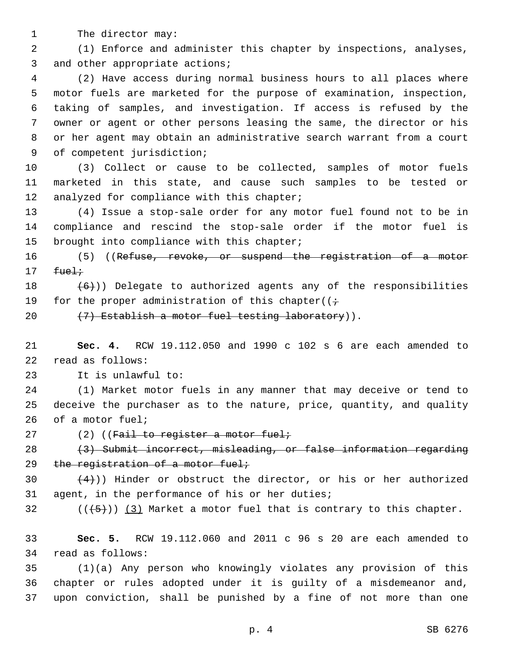1 The director may:

2 (1) Enforce and administer this chapter by inspections, analyses, 3 and other appropriate actions;

 (2) Have access during normal business hours to all places where motor fuels are marketed for the purpose of examination, inspection, taking of samples, and investigation. If access is refused by the owner or agent or other persons leasing the same, the director or his or her agent may obtain an administrative search warrant from a court 9 of competent jurisdiction;

10 (3) Collect or cause to be collected, samples of motor fuels 11 marketed in this state, and cause such samples to be tested or 12 analyzed for compliance with this chapter;

13 (4) Issue a stop-sale order for any motor fuel found not to be in 14 compliance and rescind the stop-sale order if the motor fuel is 15 brought into compliance with this chapter;

16 (5) ((Refuse, revoke, or suspend the registration of a motor  $17$   $fuel:$ 

18  $(6)$ )) Delegate to authorized agents any of the responsibilities 19 for the proper administration of this chapter( $(i \div)$ 

20 (7) Establish a motor fuel testing laboratory)).

21 **Sec. 4.** RCW 19.112.050 and 1990 c 102 s 6 are each amended to read as follows:22

23 It is unlawful to:

24 (1) Market motor fuels in any manner that may deceive or tend to 25 deceive the purchaser as to the nature, price, quantity, and quality 26 of a motor fuel;

 $27$  (2) ((Fail to register a motor fuel;

28 (3) Submit incorrect, misleading, or false information regarding 29 the registration of a motor fuel;

30  $(4)$ )) Hinder or obstruct the director, or his or her authorized 31 agent, in the performance of his or her duties;

32  $((+5))$  (3) Market a motor fuel that is contrary to this chapter.

33 **Sec. 5.** RCW 19.112.060 and 2011 c 96 s 20 are each amended to 34 read as follows:

35 (1)(a) Any person who knowingly violates any provision of this 36 chapter or rules adopted under it is guilty of a misdemeanor and, 37 upon conviction, shall be punished by a fine of not more than one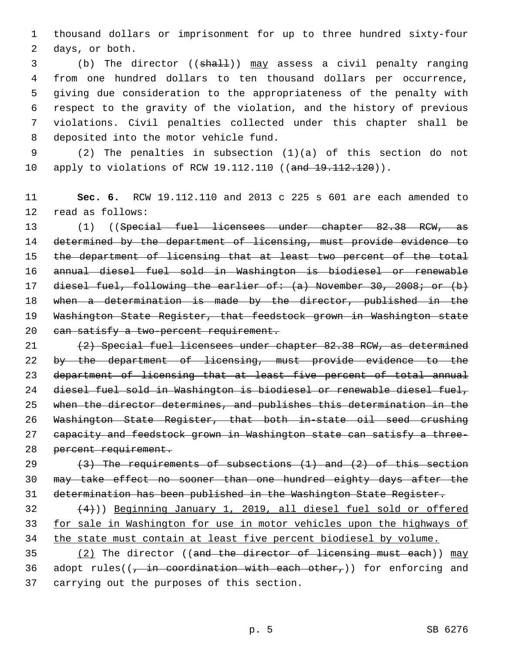thousand dollars or imprisonment for up to three hundred sixty-four 2 days, or both.

 (b) The director ((shall)) may assess a civil penalty ranging from one hundred dollars to ten thousand dollars per occurrence, giving due consideration to the appropriateness of the penalty with respect to the gravity of the violation, and the history of previous violations. Civil penalties collected under this chapter shall be 8 deposited into the motor vehicle fund.

 (2) The penalties in subsection (1)(a) of this section do not 10 apply to violations of RCW 19.112.110 ((and 19.112.120)).

 **Sec. 6.** RCW 19.112.110 and 2013 c 225 s 601 are each amended to 12 read as follows:

13 (1) ((Special fuel licensees under chapter 82.38 RCW, as 14 determined by the department of licensing, must provide evidence to the department of licensing that at least two percent of the total annual diesel fuel sold in Washington is biodiesel or renewable diesel fuel, following the earlier of: (a) November 30, 2008; or (b) when a determination is made by the director, published in the Washington State Register, that feedstock grown in Washington state 20 can satisfy a two-percent requirement.

 (2) Special fuel licensees under chapter 82.38 RCW, as determined 22 by the department of licensing, must provide evidence to the department of licensing that at least five percent of total annual diesel fuel sold in Washington is biodiesel or renewable diesel fuel, when the director determines, and publishes this determination in the Washington State Register, that both in-state oil seed crushing capacity and feedstock grown in Washington state can satisfy a three-28 percent requirement.

29  $(3)$  The requirements of subsections  $(1)$  and  $(2)$  of this section may take effect no sooner than one hundred eighty days after the determination has been published in the Washington State Register.

 $(4)$ )) Beginning January 1, 2019, all diesel fuel sold or offered for sale in Washington for use in motor vehicles upon the highways of the state must contain at least five percent biodiesel by volume.

35 (2) The director ((and the director of licensing must each)) may 36 adopt rules( $\left(\frac{1}{t} + \frac{1}{t} + \frac{1}{t} + \frac{1}{t} + \frac{1}{t} + \frac{1}{t} + \frac{1}{t} + \frac{1}{t} + \frac{1}{t} + \frac{1}{t} + \frac{1}{t} + \frac{1}{t} + \frac{1}{t} + \frac{1}{t} + \frac{1}{t} + \frac{1}{t} + \frac{1}{t} + \frac{1}{t} + \frac{1}{t} + \frac{1}{t} + \frac{1}{t} + \frac{1}{t} + \frac{1}{t} + \frac{1}{t} + \frac{1}{t} + \frac{$ 37 carrying out the purposes of this section.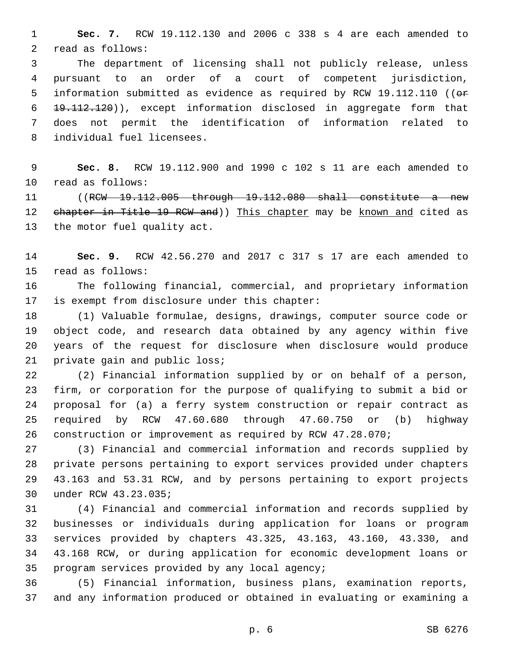**Sec. 7.** RCW 19.112.130 and 2006 c 338 s 4 are each amended to 2 read as follows:

 The department of licensing shall not publicly release, unless pursuant to an order of a court of competent jurisdiction, 5 information submitted as evidence as required by RCW 19.112.110 (( $\Theta$ ff 19.112.120)), except information disclosed in aggregate form that does not permit the identification of information related to 8 individual fuel licensees.

 **Sec. 8.** RCW 19.112.900 and 1990 c 102 s 11 are each amended to 10 read as follows:

 ((RCW 19.112.005 through 19.112.080 shall constitute a new 12 chapter in Title 19 RCW and)) This chapter may be known and cited as 13 the motor fuel quality act.

 **Sec. 9.** RCW 42.56.270 and 2017 c 317 s 17 are each amended to 15 read as follows:

 The following financial, commercial, and proprietary information 17 is exempt from disclosure under this chapter:

 (1) Valuable formulae, designs, drawings, computer source code or object code, and research data obtained by any agency within five years of the request for disclosure when disclosure would produce 21 private gain and public loss;

 (2) Financial information supplied by or on behalf of a person, firm, or corporation for the purpose of qualifying to submit a bid or proposal for (a) a ferry system construction or repair contract as required by RCW 47.60.680 through 47.60.750 or (b) highway construction or improvement as required by RCW 47.28.070;

 (3) Financial and commercial information and records supplied by private persons pertaining to export services provided under chapters 43.163 and 53.31 RCW, and by persons pertaining to export projects 30 under RCW 43.23.035;

 (4) Financial and commercial information and records supplied by businesses or individuals during application for loans or program services provided by chapters 43.325, 43.163, 43.160, 43.330, and 43.168 RCW, or during application for economic development loans or 35 program services provided by any local agency;

 (5) Financial information, business plans, examination reports, and any information produced or obtained in evaluating or examining a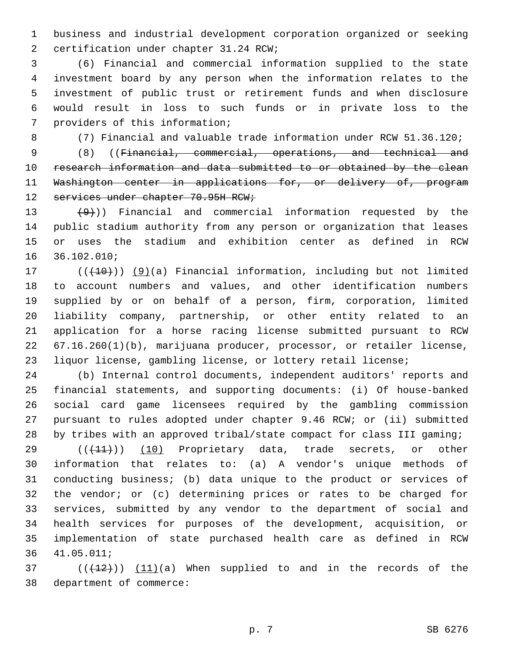business and industrial development corporation organized or seeking 2 certification under chapter 31.24 RCW;

 (6) Financial and commercial information supplied to the state investment board by any person when the information relates to the investment of public trust or retirement funds and when disclosure would result in loss to such funds or in private loss to the 7 providers of this information;

(7) Financial and valuable trade information under RCW 51.36.120;

 (8) ((Financial, commercial, operations, and technical and research information and data submitted to or obtained by the clean Washington center in applications for, or delivery of, program 12 services under chapter 70.95H RCW;

 $(9)$ ) Financial and commercial information requested by the public stadium authority from any person or organization that leases or uses the stadium and exhibition center as defined in RCW 36.102.010;16

17 (( $(10)$ ) (9)(a) Financial information, including but not limited to account numbers and values, and other identification numbers supplied by or on behalf of a person, firm, corporation, limited liability company, partnership, or other entity related to an application for a horse racing license submitted pursuant to RCW 67.16.260(1)(b), marijuana producer, processor, or retailer license, liquor license, gambling license, or lottery retail license;

 (b) Internal control documents, independent auditors' reports and financial statements, and supporting documents: (i) Of house-banked social card game licensees required by the gambling commission pursuant to rules adopted under chapter 9.46 RCW; or (ii) submitted by tribes with an approved tribal/state compact for class III gaming;

 ( $(\overline{+11})$ ) (10) Proprietary data, trade secrets, or other information that relates to: (a) A vendor's unique methods of conducting business; (b) data unique to the product or services of the vendor; or (c) determining prices or rates to be charged for services, submitted by any vendor to the department of social and health services for purposes of the development, acquisition, or implementation of state purchased health care as defined in RCW 41.05.011;36

 ( $(412)$ ))  $(11)(a)$  When supplied to and in the records of the 38 department of commerce: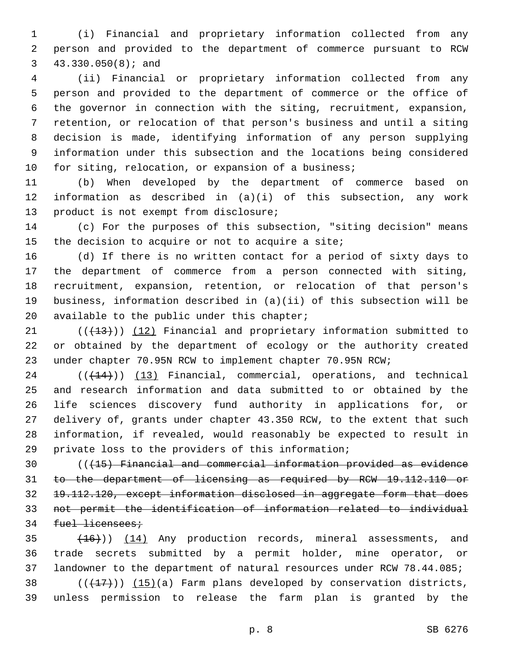(i) Financial and proprietary information collected from any person and provided to the department of commerce pursuant to RCW 43.330.050(8); and3

 (ii) Financial or proprietary information collected from any person and provided to the department of commerce or the office of the governor in connection with the siting, recruitment, expansion, retention, or relocation of that person's business and until a siting decision is made, identifying information of any person supplying information under this subsection and the locations being considered for siting, relocation, or expansion of a business;

 (b) When developed by the department of commerce based on information as described in (a)(i) of this subsection, any work 13 product is not exempt from disclosure;

 (c) For the purposes of this subsection, "siting decision" means 15 the decision to acquire or not to acquire a site;

 (d) If there is no written contact for a period of sixty days to the department of commerce from a person connected with siting, recruitment, expansion, retention, or relocation of that person's business, information described in (a)(ii) of this subsection will be 20 available to the public under this chapter;

21 (( $(13)$ )) (12) Financial and proprietary information submitted to or obtained by the department of ecology or the authority created under chapter 70.95N RCW to implement chapter 70.95N RCW;

24 (( $(14)$ )) (13) Financial, commercial, operations, and technical and research information and data submitted to or obtained by the life sciences discovery fund authority in applications for, or delivery of, grants under chapter 43.350 RCW, to the extent that such information, if revealed, would reasonably be expected to result in private loss to the providers of this information;

 (((15) Financial and commercial information provided as evidence to the department of licensing as required by RCW 19.112.110 or 19.112.120, except information disclosed in aggregate form that does not permit the identification of information related to individual 34 fuel licensees;

 $(16)$ )  $(14)$  Any production records, mineral assessments, and trade secrets submitted by a permit holder, mine operator, or landowner to the department of natural resources under RCW 78.44.085;

38  $((+17))$   $(15)(a)$  Farm plans developed by conservation districts, unless permission to release the farm plan is granted by the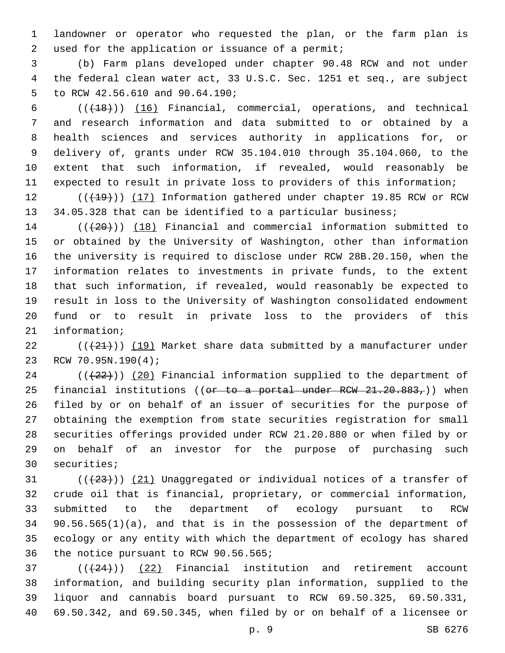landowner or operator who requested the plan, or the farm plan is 2 used for the application or issuance of a permit;

 (b) Farm plans developed under chapter 90.48 RCW and not under the federal clean water act, 33 U.S.C. Sec. 1251 et seq., are subject 5 to RCW 42.56.610 and 90.64.190;

 $((+18))$   $(16)$  Financial, commercial, operations, and technical and research information and data submitted to or obtained by a health sciences and services authority in applications for, or delivery of, grants under RCW 35.104.010 through 35.104.060, to the extent that such information, if revealed, would reasonably be expected to result in private loss to providers of this information;

12 (( $(19)$ )) (17) Information gathered under chapter 19.85 RCW or RCW 13 34.05.328 that can be identified to a particular business;

14 (( $(20)$ )) (18) Financial and commercial information submitted to or obtained by the University of Washington, other than information the university is required to disclose under RCW 28B.20.150, when the information relates to investments in private funds, to the extent that such information, if revealed, would reasonably be expected to result in loss to the University of Washington consolidated endowment fund or to result in private loss to the providers of this 21 information;

 $((+21))$  (19) Market share data submitted by a manufacturer under 23 RCW 70.95N.190(4);

 (( $(22)$ )) (20) Financial information supplied to the department of 25 financial institutions ((or to a portal under RCW 21.20.883,)) when filed by or on behalf of an issuer of securities for the purpose of obtaining the exemption from state securities registration for small securities offerings provided under RCW 21.20.880 or when filed by or on behalf of an investor for the purpose of purchasing such 30 securities;

 $((+23))$   $(21)$  Unaggregated or individual notices of a transfer of crude oil that is financial, proprietary, or commercial information, submitted to the department of ecology pursuant to RCW 90.56.565(1)(a), and that is in the possession of the department of ecology or any entity with which the department of ecology has shared 36 the notice pursuant to RCW 90.56.565;

 $(1 + 24)(1 + 24)$  (22) Financial institution and retirement account information, and building security plan information, supplied to the liquor and cannabis board pursuant to RCW 69.50.325, 69.50.331, 69.50.342, and 69.50.345, when filed by or on behalf of a licensee or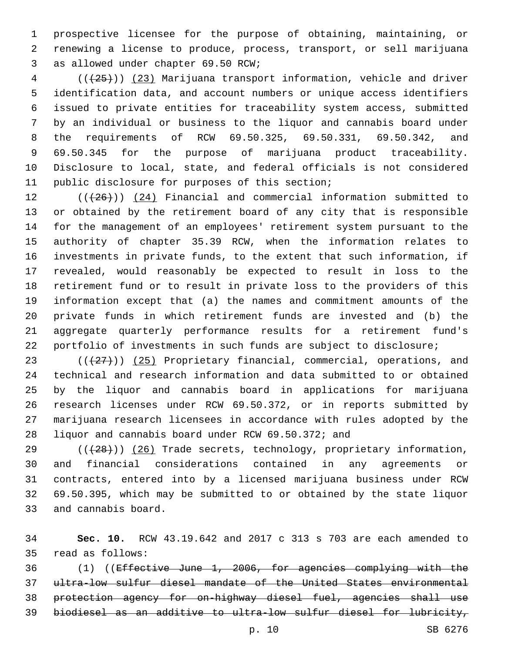prospective licensee for the purpose of obtaining, maintaining, or renewing a license to produce, process, transport, or sell marijuana 3 as allowed under chapter 69.50 RCW;

4 (( $(25)$ )) (23) Marijuana transport information, vehicle and driver identification data, and account numbers or unique access identifiers issued to private entities for traceability system access, submitted by an individual or business to the liquor and cannabis board under the requirements of RCW 69.50.325, 69.50.331, 69.50.342, and 69.50.345 for the purpose of marijuana product traceability. Disclosure to local, state, and federal officials is not considered 11 public disclosure for purposes of this section;

 (( $(26)$ )) (24) Financial and commercial information submitted to or obtained by the retirement board of any city that is responsible for the management of an employees' retirement system pursuant to the authority of chapter 35.39 RCW, when the information relates to investments in private funds, to the extent that such information, if revealed, would reasonably be expected to result in loss to the retirement fund or to result in private loss to the providers of this information except that (a) the names and commitment amounts of the private funds in which retirement funds are invested and (b) the aggregate quarterly performance results for a retirement fund's portfolio of investments in such funds are subject to disclosure;

 $(1+27)$  ( $(25)$  Proprietary financial, commercial, operations, and technical and research information and data submitted to or obtained by the liquor and cannabis board in applications for marijuana research licenses under RCW 69.50.372, or in reports submitted by marijuana research licensees in accordance with rules adopted by the liquor and cannabis board under RCW 69.50.372; and

 $(1+28)$  ( $(26)$  Trade secrets, technology, proprietary information, and financial considerations contained in any agreements or contracts, entered into by a licensed marijuana business under RCW 69.50.395, which may be submitted to or obtained by the state liquor 33 and cannabis board.

 **Sec. 10.** RCW 43.19.642 and 2017 c 313 s 703 are each amended to 35 read as follows:

 (1) ((Effective June 1, 2006, for agencies complying with the ultra-low sulfur diesel mandate of the United States environmental protection agency for on-highway diesel fuel, agencies shall use biodiesel as an additive to ultra-low sulfur diesel for lubricity,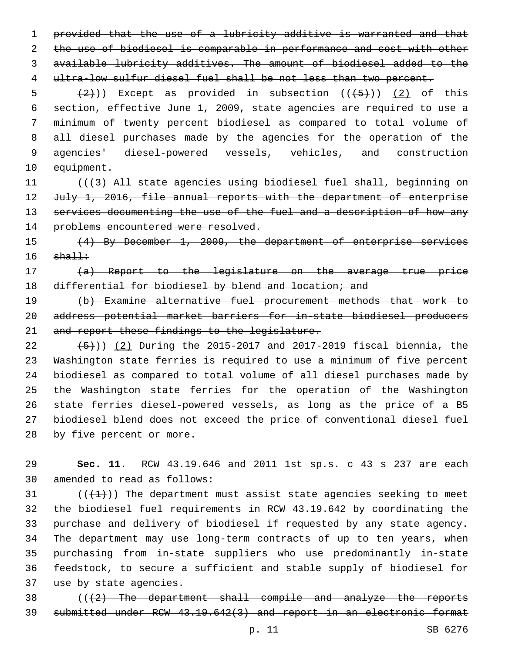provided that the use of a lubricity additive is warranted and that the use of biodiesel is comparable in performance and cost with other available lubricity additives. The amount of biodiesel added to the ultra-low sulfur diesel fuel shall be not less than two percent.

 $(2)$ ) Except as provided in subsection  $((5))$  (2) of this section, effective June 1, 2009, state agencies are required to use a minimum of twenty percent biodiesel as compared to total volume of all diesel purchases made by the agencies for the operation of the agencies' diesel-powered vessels, vehicles, and construction 10 equipment.

 (((3) All state agencies using biodiesel fuel shall, beginning on 12 July 1, 2016, file annual reports with the department of enterprise 13 services documenting the use of the fuel and a description of how any 14 problems encountered were resolved.

 (4) By December 1, 2009, the department of enterprise services  $shall:$ 

 (a) Report to the legislature on the average true price 18 differential for biodiesel by blend and location; and

 (b) Examine alternative fuel procurement methods that work to address potential market barriers for in-state biodiesel producers and report these findings to the legislature.

 $(5)$  (2) During the 2015-2017 and 2017-2019 fiscal biennia, the Washington state ferries is required to use a minimum of five percent biodiesel as compared to total volume of all diesel purchases made by the Washington state ferries for the operation of the Washington state ferries diesel-powered vessels, as long as the price of a B5 biodiesel blend does not exceed the price of conventional diesel fuel 28 by five percent or more.

 **Sec. 11.** RCW 43.19.646 and 2011 1st sp.s. c 43 s 237 are each 30 amended to read as follows:

 $(1+1)$ ) The department must assist state agencies seeking to meet the biodiesel fuel requirements in RCW 43.19.642 by coordinating the purchase and delivery of biodiesel if requested by any state agency. The department may use long-term contracts of up to ten years, when purchasing from in-state suppliers who use predominantly in-state feedstock, to secure a sufficient and stable supply of biodiesel for 37 use by state agencies.

 (((2) The department shall compile and analyze the reports submitted under RCW 43.19.642(3) and report in an electronic format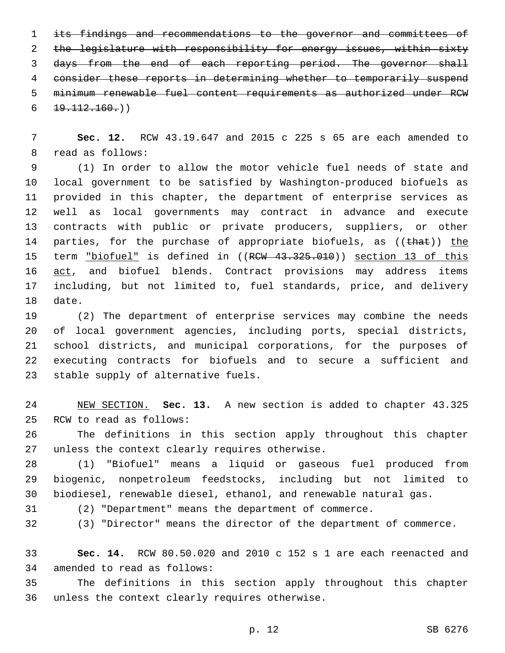its findings and recommendations to the governor and committees of the legislature with responsibility for energy issues, within sixty days from the end of each reporting period. The governor shall consider these reports in determining whether to temporarily suspend minimum renewable fuel content requirements as authorized under RCW  $6 \left( \frac{19.112.160}{\cdot} \right)$ 

 **Sec. 12.** RCW 43.19.647 and 2015 c 225 s 65 are each amended to 8 read as follows:

 (1) In order to allow the motor vehicle fuel needs of state and local government to be satisfied by Washington-produced biofuels as provided in this chapter, the department of enterprise services as well as local governments may contract in advance and execute contracts with public or private producers, suppliers, or other 14 parties, for the purchase of appropriate biofuels, as ((that)) the 15 term "biofuel" is defined in ((RCW 43.325.010)) section 13 of this 16 act, and biofuel blends. Contract provisions may address items including, but not limited to, fuel standards, price, and delivery 18 date.

 (2) The department of enterprise services may combine the needs of local government agencies, including ports, special districts, school districts, and municipal corporations, for the purposes of executing contracts for biofuels and to secure a sufficient and 23 stable supply of alternative fuels.

 NEW SECTION. **Sec. 13.** A new section is added to chapter 43.325 25 RCW to read as follows:

 The definitions in this section apply throughout this chapter 27 unless the context clearly requires otherwise.

 (1) "Biofuel" means a liquid or gaseous fuel produced from biogenic, nonpetroleum feedstocks, including but not limited to biodiesel, renewable diesel, ethanol, and renewable natural gas.

(2) "Department" means the department of commerce.

(3) "Director" means the director of the department of commerce.

 **Sec. 14.** RCW 80.50.020 and 2010 c 152 s 1 are each reenacted and 34 amended to read as follows:

 The definitions in this section apply throughout this chapter 36 unless the context clearly requires otherwise.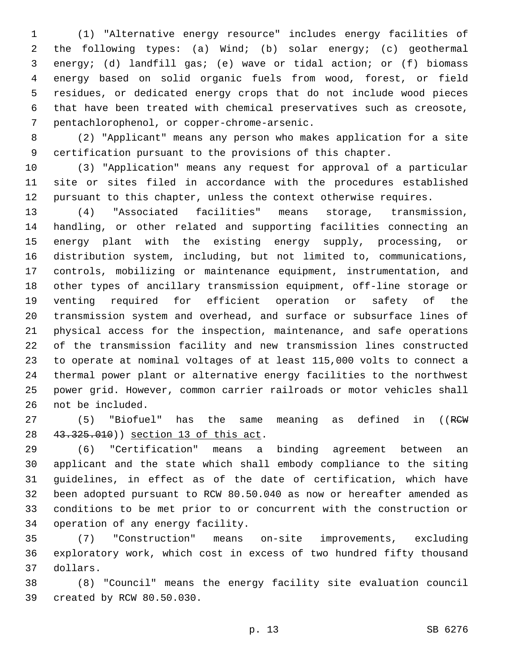(1) "Alternative energy resource" includes energy facilities of the following types: (a) Wind; (b) solar energy; (c) geothermal energy; (d) landfill gas; (e) wave or tidal action; or (f) biomass energy based on solid organic fuels from wood, forest, or field residues, or dedicated energy crops that do not include wood pieces that have been treated with chemical preservatives such as creosote, pentachlorophenol, or copper-chrome-arsenic.7

 (2) "Applicant" means any person who makes application for a site certification pursuant to the provisions of this chapter.

 (3) "Application" means any request for approval of a particular site or sites filed in accordance with the procedures established pursuant to this chapter, unless the context otherwise requires.

 (4) "Associated facilities" means storage, transmission, handling, or other related and supporting facilities connecting an energy plant with the existing energy supply, processing, or distribution system, including, but not limited to, communications, controls, mobilizing or maintenance equipment, instrumentation, and other types of ancillary transmission equipment, off-line storage or venting required for efficient operation or safety of the transmission system and overhead, and surface or subsurface lines of physical access for the inspection, maintenance, and safe operations of the transmission facility and new transmission lines constructed to operate at nominal voltages of at least 115,000 volts to connect a thermal power plant or alternative energy facilities to the northwest power grid. However, common carrier railroads or motor vehicles shall 26 not be included.

27 (5) "Biofuel" has the same meaning as defined in ((RCW) 28 43.325.010)) section 13 of this act.

 (6) "Certification" means a binding agreement between an applicant and the state which shall embody compliance to the siting guidelines, in effect as of the date of certification, which have been adopted pursuant to RCW 80.50.040 as now or hereafter amended as conditions to be met prior to or concurrent with the construction or 34 operation of any energy facility.

 (7) "Construction" means on-site improvements, excluding exploratory work, which cost in excess of two hundred fifty thousand dollars.37

 (8) "Council" means the energy facility site evaluation council 39 created by RCW 80.50.030.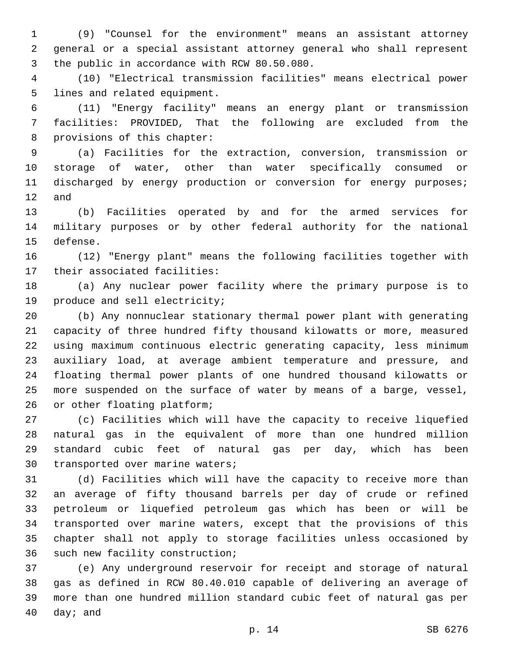(9) "Counsel for the environment" means an assistant attorney general or a special assistant attorney general who shall represent 3 the public in accordance with RCW 80.50.080.

 (10) "Electrical transmission facilities" means electrical power 5 lines and related equipment.

 (11) "Energy facility" means an energy plant or transmission facilities: PROVIDED, That the following are excluded from the 8 provisions of this chapter:

 (a) Facilities for the extraction, conversion, transmission or storage of water, other than water specifically consumed or 11 discharged by energy production or conversion for energy purposes; and

 (b) Facilities operated by and for the armed services for military purposes or by other federal authority for the national 15 defense.

 (12) "Energy plant" means the following facilities together with 17 their associated facilities:

 (a) Any nuclear power facility where the primary purpose is to 19 produce and sell electricity;

 (b) Any nonnuclear stationary thermal power plant with generating capacity of three hundred fifty thousand kilowatts or more, measured using maximum continuous electric generating capacity, less minimum auxiliary load, at average ambient temperature and pressure, and floating thermal power plants of one hundred thousand kilowatts or more suspended on the surface of water by means of a barge, vessel, 26 or other floating platform;

 (c) Facilities which will have the capacity to receive liquefied natural gas in the equivalent of more than one hundred million standard cubic feet of natural gas per day, which has been 30 transported over marine waters;

 (d) Facilities which will have the capacity to receive more than an average of fifty thousand barrels per day of crude or refined petroleum or liquefied petroleum gas which has been or will be transported over marine waters, except that the provisions of this chapter shall not apply to storage facilities unless occasioned by 36 such new facility construction;

 (e) Any underground reservoir for receipt and storage of natural gas as defined in RCW 80.40.010 capable of delivering an average of more than one hundred million standard cubic feet of natural gas per day; and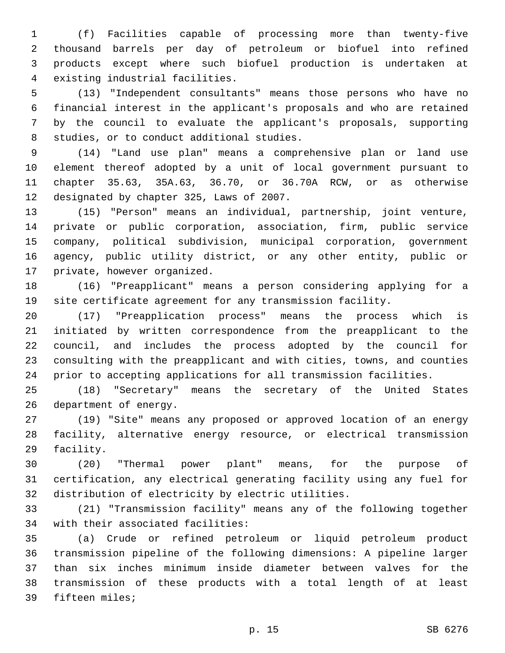(f) Facilities capable of processing more than twenty-five thousand barrels per day of petroleum or biofuel into refined products except where such biofuel production is undertaken at existing industrial facilities.4

 (13) "Independent consultants" means those persons who have no financial interest in the applicant's proposals and who are retained by the council to evaluate the applicant's proposals, supporting 8 studies, or to conduct additional studies.

 (14) "Land use plan" means a comprehensive plan or land use element thereof adopted by a unit of local government pursuant to chapter 35.63, 35A.63, 36.70, or 36.70A RCW, or as otherwise 12 designated by chapter 325, Laws of 2007.

 (15) "Person" means an individual, partnership, joint venture, private or public corporation, association, firm, public service company, political subdivision, municipal corporation, government agency, public utility district, or any other entity, public or 17 private, however organized.

 (16) "Preapplicant" means a person considering applying for a site certificate agreement for any transmission facility.

 (17) "Preapplication process" means the process which is initiated by written correspondence from the preapplicant to the council, and includes the process adopted by the council for consulting with the preapplicant and with cities, towns, and counties prior to accepting applications for all transmission facilities.

 (18) "Secretary" means the secretary of the United States 26 department of energy.

 (19) "Site" means any proposed or approved location of an energy facility, alternative energy resource, or electrical transmission 29 facility.

 (20) "Thermal power plant" means, for the purpose of certification, any electrical generating facility using any fuel for distribution of electricity by electric utilities.

 (21) "Transmission facility" means any of the following together 34 with their associated facilities:

 (a) Crude or refined petroleum or liquid petroleum product transmission pipeline of the following dimensions: A pipeline larger than six inches minimum inside diameter between valves for the transmission of these products with a total length of at least 39 fifteen miles;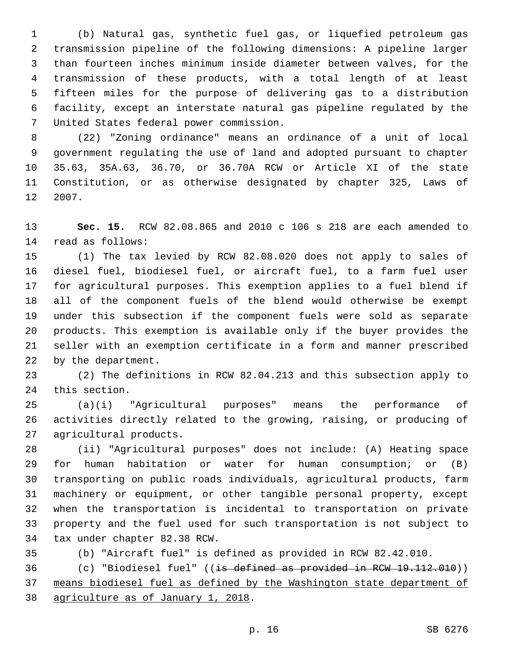(b) Natural gas, synthetic fuel gas, or liquefied petroleum gas transmission pipeline of the following dimensions: A pipeline larger than fourteen inches minimum inside diameter between valves, for the transmission of these products, with a total length of at least fifteen miles for the purpose of delivering gas to a distribution facility, except an interstate natural gas pipeline regulated by the United States federal power commission.7

 (22) "Zoning ordinance" means an ordinance of a unit of local government regulating the use of land and adopted pursuant to chapter 35.63, 35A.63, 36.70, or 36.70A RCW or Article XI of the state Constitution, or as otherwise designated by chapter 325, Laws of 12 2007.

 **Sec. 15.** RCW 82.08.865 and 2010 c 106 s 218 are each amended to 14 read as follows:

 (1) The tax levied by RCW 82.08.020 does not apply to sales of diesel fuel, biodiesel fuel, or aircraft fuel, to a farm fuel user for agricultural purposes. This exemption applies to a fuel blend if all of the component fuels of the blend would otherwise be exempt under this subsection if the component fuels were sold as separate products. This exemption is available only if the buyer provides the seller with an exemption certificate in a form and manner prescribed 22 by the department.

 (2) The definitions in RCW 82.04.213 and this subsection apply to 24 this section.

 (a)(i) "Agricultural purposes" means the performance of activities directly related to the growing, raising, or producing of 27 agricultural products.

 (ii) "Agricultural purposes" does not include: (A) Heating space for human habitation or water for human consumption; or (B) transporting on public roads individuals, agricultural products, farm machinery or equipment, or other tangible personal property, except when the transportation is incidental to transportation on private property and the fuel used for such transportation is not subject to 34 tax under chapter 82.38 RCW.

 (b) "Aircraft fuel" is defined as provided in RCW 82.42.010. (c) "Biodiesel fuel" ((is defined as provided in RCW 19.112.010)) means biodiesel fuel as defined by the Washington state department of 38 agriculture as of January 1, 2018.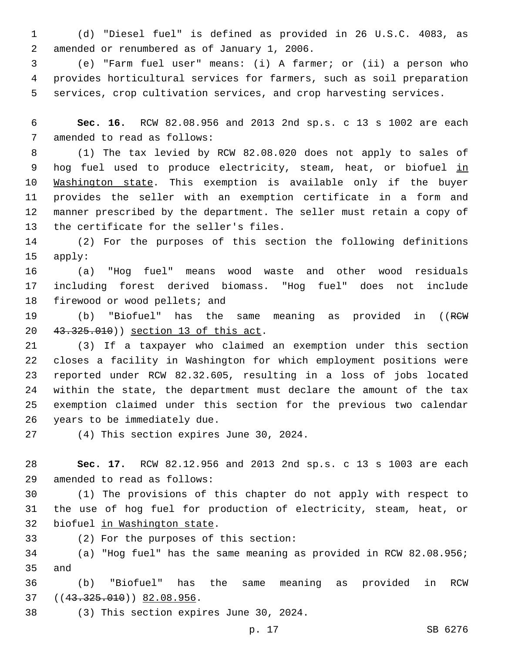1 (d) "Diesel fuel" is defined as provided in 26 U.S.C. 4083, as 2 amended or renumbered as of January 1, 2006.

3 (e) "Farm fuel user" means: (i) A farmer; or (ii) a person who 4 provides horticultural services for farmers, such as soil preparation 5 services, crop cultivation services, and crop harvesting services.

6 **Sec. 16.** RCW 82.08.956 and 2013 2nd sp.s. c 13 s 1002 are each 7 amended to read as follows:

 (1) The tax levied by RCW 82.08.020 does not apply to sales of 9 hog fuel used to produce electricity, steam, heat, or biofuel in Washington state. This exemption is available only if the buyer provides the seller with an exemption certificate in a form and manner prescribed by the department. The seller must retain a copy of 13 the certificate for the seller's files.

14 (2) For the purposes of this section the following definitions 15 apply:

16 (a) "Hog fuel" means wood waste and other wood residuals 17 including forest derived biomass. "Hog fuel" does not include 18 firewood or wood pellets; and

19 (b) "Biofuel" has the same meaning as provided in ((RCW) 20 43.325.010)) section 13 of this act.

 (3) If a taxpayer who claimed an exemption under this section closes a facility in Washington for which employment positions were reported under RCW 82.32.605, resulting in a loss of jobs located within the state, the department must declare the amount of the tax exemption claimed under this section for the previous two calendar 26 years to be immediately due.

27 (4) This section expires June 30, 2024.

28 **Sec. 17.** RCW 82.12.956 and 2013 2nd sp.s. c 13 s 1003 are each amended to read as follows:29

30 (1) The provisions of this chapter do not apply with respect to 31 the use of hog fuel for production of electricity, steam, heat, or 32 biofuel in Washington state.

(2) For the purposes of this section:33

34 (a) "Hog fuel" has the same meaning as provided in RCW 82.08.956; 35 and

36 (b) "Biofuel" has the same meaning as provided in RCW 37 ((43.325.010)) 82.08.956.

38 (3) This section expires June 30, 2024.